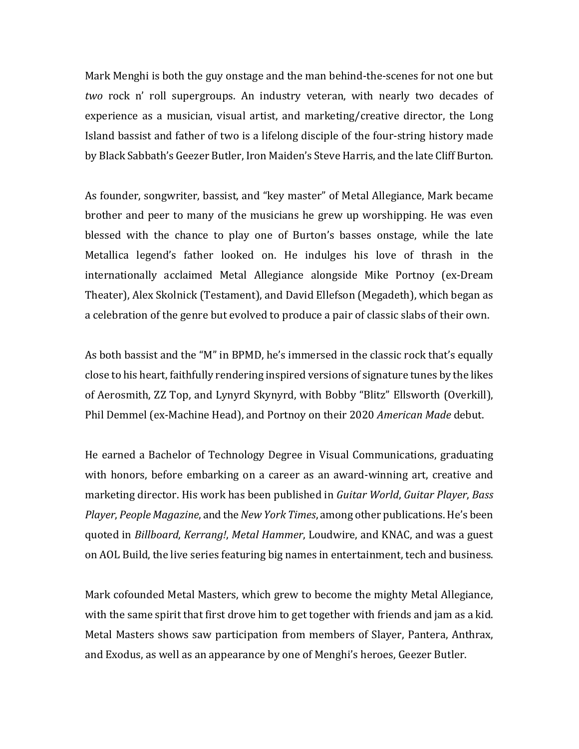Mark Menghi is both the guy onstage and the man behind-the-scenes for not one but *two* rock n' roll supergroups. An industry veteran, with nearly two decades of experience as a musician, visual artist, and marketing/creative director, the Long Island bassist and father of two is a lifelong disciple of the four-string history made by Black Sabbath's Geezer Butler, Iron Maiden's Steve Harris, and the late Cliff Burton.

As founder, songwriter, bassist, and "key master" of Metal Allegiance, Mark became brother and peer to many of the musicians he grew up worshipping. He was even blessed with the chance to play one of Burton's basses onstage, while the late Metallica legend's father looked on. He indulges his love of thrash in the internationally acclaimed Metal Allegiance alongside Mike Portnoy (ex-Dream Theater), Alex Skolnick (Testament), and David Ellefson (Megadeth), which began as a celebration of the genre but evolved to produce a pair of classic slabs of their own.

As both bassist and the "M" in BPMD, he's immersed in the classic rock that's equally close to his heart, faithfully rendering inspired versions of signature tunes by the likes of Aerosmith, ZZ Top, and Lynyrd Skynyrd, with Bobby "Blitz" Ellsworth (Overkill), Phil Demmel (ex-Machine Head), and Portnoy on their 2020 *American Made* debut.

He earned a Bachelor of Technology Degree in Visual Communications, graduating with honors, before embarking on a career as an award-winning art, creative and marketing director. His work has been published in *Guitar World, Guitar Player, Bass Player*, *People Magazine*, and the *New York Times*, among other publications. He's been quoted in *Billboard, Kerrang!, Metal Hammer, Loudwire, and KNAC, and was a guest* on AOL Build, the live series featuring big names in entertainment, tech and business.

Mark cofounded Metal Masters, which grew to become the mighty Metal Allegiance, with the same spirit that first drove him to get together with friends and jam as a kid. Metal Masters shows saw participation from members of Slayer, Pantera, Anthrax, and Exodus, as well as an appearance by one of Menghi's heroes, Geezer Butler.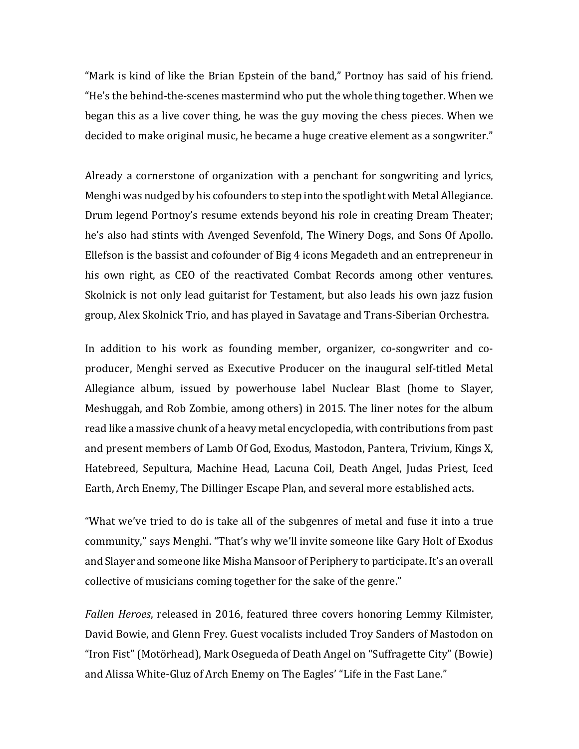"Mark is kind of like the Brian Epstein of the band," Portnoy has said of his friend. "He's the behind-the-scenes mastermind who put the whole thing together. When we began this as a live cover thing, he was the guy moving the chess pieces. When we decided to make original music, he became a huge creative element as a songwriter."

Already a cornerstone of organization with a penchant for songwriting and lyrics, Menghi was nudged by his cofounders to step into the spotlight with Metal Allegiance. Drum legend Portnoy's resume extends beyond his role in creating Dream Theater; he's also had stints with Avenged Sevenfold, The Winery Dogs, and Sons Of Apollo. Ellefson is the bassist and cofounder of Big 4 icons Megadeth and an entrepreneur in his own right, as CEO of the reactivated Combat Records among other ventures. Skolnick is not only lead guitarist for Testament, but also leads his own jazz fusion group, Alex Skolnick Trio, and has played in Savatage and Trans-Siberian Orchestra.

In addition to his work as founding member, organizer, co-songwriter and coproducer, Menghi served as Executive Producer on the inaugural self-titled Metal Allegiance album, issued by powerhouse label Nuclear Blast (home to Slayer, Meshuggah, and Rob Zombie, among others) in 2015. The liner notes for the album read like a massive chunk of a heavy metal encyclopedia, with contributions from past and present members of Lamb Of God, Exodus, Mastodon, Pantera, Trivium, Kings X, Hatebreed, Sepultura, Machine Head, Lacuna Coil, Death Angel, Judas Priest, Iced Earth, Arch Enemy, The Dillinger Escape Plan, and several more established acts.

"What we've tried to do is take all of the subgenres of metal and fuse it into a true community," says Menghi. "That's why we'll invite someone like Gary Holt of Exodus and Slayer and someone like Misha Mansoor of Periphery to participate. It's an overall collective of musicians coming together for the sake of the genre."

Fallen *Heroes*, released in 2016, featured three covers honoring Lemmy Kilmister, David Bowie, and Glenn Frey. Guest vocalists included Troy Sanders of Mastodon on "Iron Fist" (Motörhead), Mark Osegueda of Death Angel on "Suffragette City" (Bowie) and Alissa White-Gluz of Arch Enemy on The Eagles' "Life in the Fast Lane."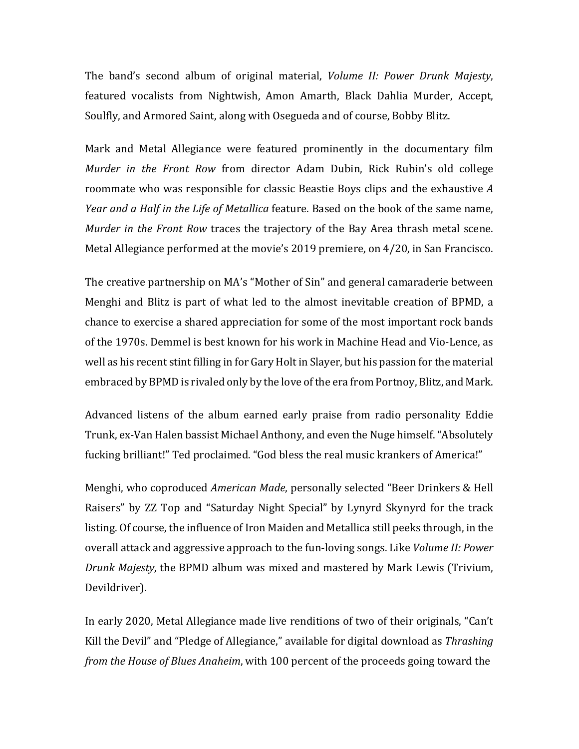The band's second album of original material, *Volume II: Power Drunk Majesty*, featured vocalists from Nightwish, Amon Amarth, Black Dahlia Murder, Accept, Soulfly, and Armored Saint, along with Osegueda and of course, Bobby Blitz.

Mark and Metal Allegiance were featured prominently in the documentary film *Murder in the Front Row from director Adam Dubin, Rick Rubin's old college* roommate who was responsible for classic Beastie Boys clips and the exhaustive A *Year and a Half in the Life of Metallica feature.* Based on the book of the same name, *Murder in the Front Row traces the trajectory of the Bay Area thrash metal scene.* Metal Allegiance performed at the movie's 2019 premiere, on  $4/20$ , in San Francisco.

The creative partnership on MA's "Mother of Sin" and general camaraderie between Menghi and Blitz is part of what led to the almost inevitable creation of BPMD, a chance to exercise a shared appreciation for some of the most important rock bands of the 1970s. Demmel is best known for his work in Machine Head and Vio-Lence, as well as his recent stint filling in for Gary Holt in Slayer, but his passion for the material embraced by BPMD is rivaled only by the love of the era from Portnoy, Blitz, and Mark.

Advanced listens of the album earned early praise from radio personality Eddie Trunk, ex-Van Halen bassist Michael Anthony, and even the Nuge himself. "Absolutely fucking brilliant!" Ted proclaimed. "God bless the real music krankers of America!"

Menghi, who coproduced *American Made*, personally selected "Beer Drinkers & Hell Raisers" by ZZ Top and "Saturday Night Special" by Lynyrd Skynyrd for the track listing. Of course, the influence of Iron Maiden and Metallica still peeks through, in the overall attack and aggressive approach to the fun-loving songs. Like *Volume II: Power Drunk Majesty*, the BPMD album was mixed and mastered by Mark Lewis (Trivium, Devildriver). 

In early 2020, Metal Allegiance made live renditions of two of their originals, "Can't Kill the Devil" and "Pledge of Allegiance," available for digital download as *Thrashing from the House of Blues Anaheim*, with 100 percent of the proceeds going toward the